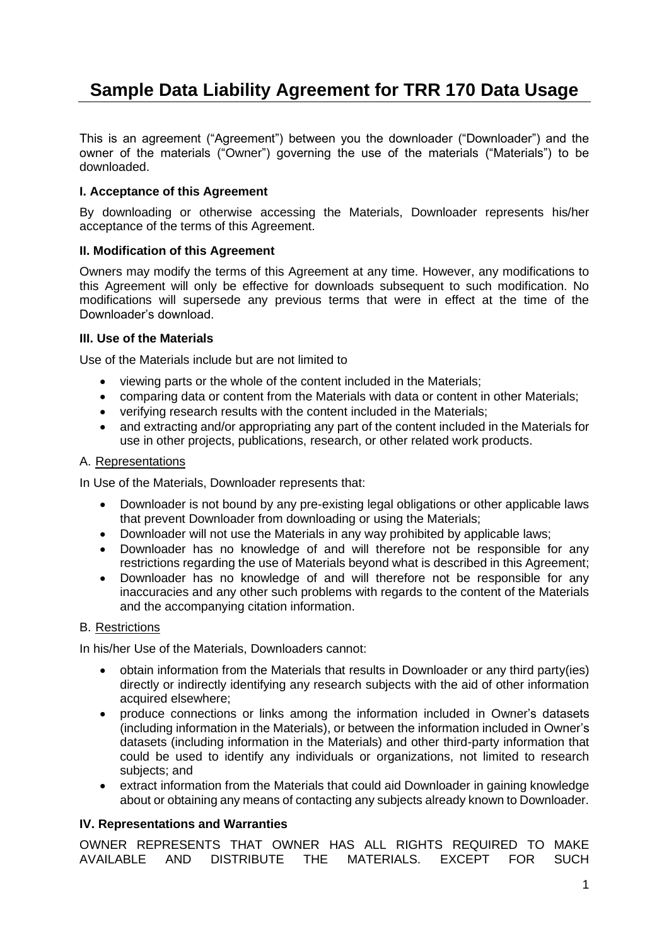# **Sample Data Liability Agreement for TRR 170 Data Usage**

This is an agreement ("Agreement") between you the downloader ("Downloader") and the owner of the materials ("Owner") governing the use of the materials ("Materials") to be downloaded.

## **I. Acceptance of this Agreement**

By downloading or otherwise accessing the Materials, Downloader represents his/her acceptance of the terms of this Agreement.

## **II. Modification of this Agreement**

Owners may modify the terms of this Agreement at any time. However, any modifications to this Agreement will only be effective for downloads subsequent to such modification. No modifications will supersede any previous terms that were in effect at the time of the Downloader's download.

## **III. Use of the Materials**

Use of the Materials include but are not limited to

- viewing parts or the whole of the content included in the Materials;
- comparing data or content from the Materials with data or content in other Materials;
- verifying research results with the content included in the Materials;
- and extracting and/or appropriating any part of the content included in the Materials for use in other projects, publications, research, or other related work products.

#### A. Representations

In Use of the Materials, Downloader represents that:

- Downloader is not bound by any pre-existing legal obligations or other applicable laws that prevent Downloader from downloading or using the Materials;
- Downloader will not use the Materials in any way prohibited by applicable laws;
- Downloader has no knowledge of and will therefore not be responsible for any restrictions regarding the use of Materials beyond what is described in this Agreement;
- Downloader has no knowledge of and will therefore not be responsible for any inaccuracies and any other such problems with regards to the content of the Materials and the accompanying citation information.

## B. Restrictions

In his/her Use of the Materials, Downloaders cannot:

- obtain information from the Materials that results in Downloader or any third party(ies) directly or indirectly identifying any research subjects with the aid of other information acquired elsewhere;
- produce connections or links among the information included in Owner's datasets (including information in the Materials), or between the information included in Owner's datasets (including information in the Materials) and other third-party information that could be used to identify any individuals or organizations, not limited to research subjects; and
- extract information from the Materials that could aid Downloader in gaining knowledge about or obtaining any means of contacting any subjects already known to Downloader.

#### **IV. Representations and Warranties**

OWNER REPRESENTS THAT OWNER HAS ALL RIGHTS REQUIRED TO MAKE AVAILABLE AND DISTRIBUTE THE MATERIALS. EXCEPT FOR SUCH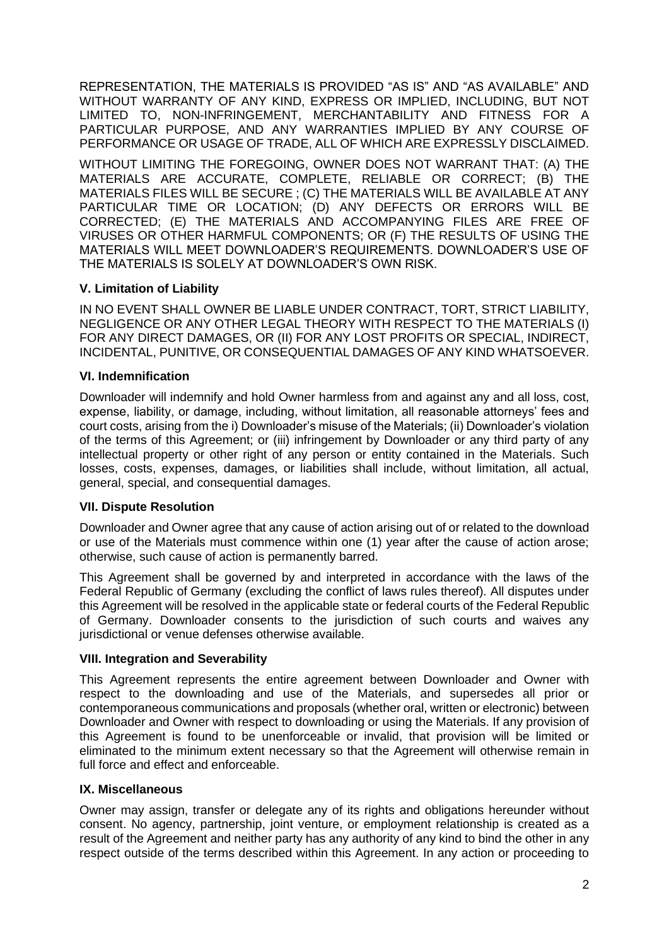REPRESENTATION, THE MATERIALS IS PROVIDED "AS IS" AND "AS AVAILABLE" AND WITHOUT WARRANTY OF ANY KIND, EXPRESS OR IMPLIED, INCLUDING, BUT NOT LIMITED TO, NON-INFRINGEMENT, MERCHANTABILITY AND FITNESS FOR A PARTICULAR PURPOSE, AND ANY WARRANTIES IMPLIED BY ANY COURSE OF PERFORMANCE OR USAGE OF TRADE, ALL OF WHICH ARE EXPRESSLY DISCLAIMED.

WITHOUT LIMITING THE FOREGOING, OWNER DOES NOT WARRANT THAT: (A) THE MATERIALS ARE ACCURATE, COMPLETE, RELIABLE OR CORRECT; (B) THE MATERIALS FILES WILL BE SECURE ; (C) THE MATERIALS WILL BE AVAILABLE AT ANY PARTICULAR TIME OR LOCATION; (D) ANY DEFECTS OR ERRORS WILL BE CORRECTED; (E) THE MATERIALS AND ACCOMPANYING FILES ARE FREE OF VIRUSES OR OTHER HARMFUL COMPONENTS; OR (F) THE RESULTS OF USING THE MATERIALS WILL MEET DOWNLOADER'S REQUIREMENTS. DOWNLOADER'S USE OF THE MATERIALS IS SOLELY AT DOWNLOADER'S OWN RISK.

# **V. Limitation of Liability**

IN NO EVENT SHALL OWNER BE LIABLE UNDER CONTRACT, TORT, STRICT LIABILITY, NEGLIGENCE OR ANY OTHER LEGAL THEORY WITH RESPECT TO THE MATERIALS (I) FOR ANY DIRECT DAMAGES, OR (II) FOR ANY LOST PROFITS OR SPECIAL, INDIRECT, INCIDENTAL, PUNITIVE, OR CONSEQUENTIAL DAMAGES OF ANY KIND WHATSOEVER.

## **VI. Indemnification**

Downloader will indemnify and hold Owner harmless from and against any and all loss, cost, expense, liability, or damage, including, without limitation, all reasonable attorneys' fees and court costs, arising from the i) Downloader's misuse of the Materials; (ii) Downloader's violation of the terms of this Agreement; or (iii) infringement by Downloader or any third party of any intellectual property or other right of any person or entity contained in the Materials. Such losses, costs, expenses, damages, or liabilities shall include, without limitation, all actual, general, special, and consequential damages.

## **VII. Dispute Resolution**

Downloader and Owner agree that any cause of action arising out of or related to the download or use of the Materials must commence within one (1) year after the cause of action arose; otherwise, such cause of action is permanently barred.

This Agreement shall be governed by and interpreted in accordance with the laws of the Federal Republic of Germany (excluding the conflict of laws rules thereof). All disputes under this Agreement will be resolved in the applicable state or federal courts of the Federal Republic of Germany. Downloader consents to the jurisdiction of such courts and waives any jurisdictional or venue defenses otherwise available.

## **VIII. Integration and Severability**

This Agreement represents the entire agreement between Downloader and Owner with respect to the downloading and use of the Materials, and supersedes all prior or contemporaneous communications and proposals (whether oral, written or electronic) between Downloader and Owner with respect to downloading or using the Materials. If any provision of this Agreement is found to be unenforceable or invalid, that provision will be limited or eliminated to the minimum extent necessary so that the Agreement will otherwise remain in full force and effect and enforceable.

## **IX. Miscellaneous**

Owner may assign, transfer or delegate any of its rights and obligations hereunder without consent. No agency, partnership, joint venture, or employment relationship is created as a result of the Agreement and neither party has any authority of any kind to bind the other in any respect outside of the terms described within this Agreement. In any action or proceeding to